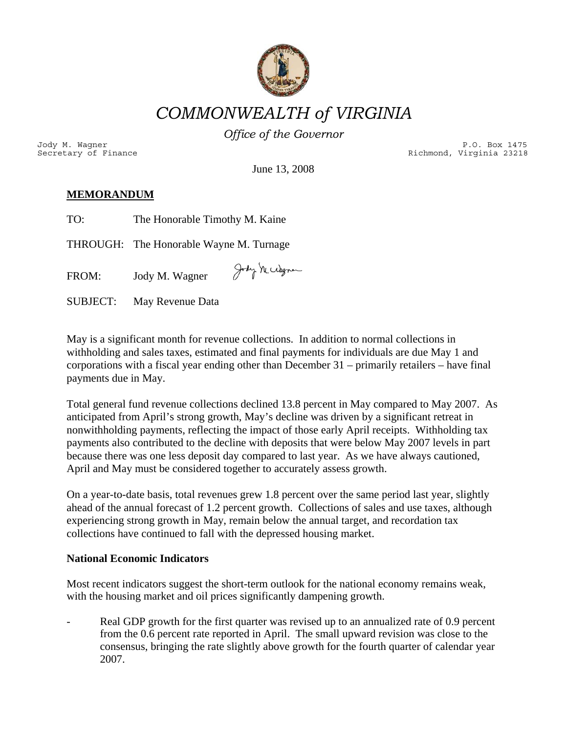

*COMMONWEALTH of VIRGINIA* 

*Office of the Governor*

Secretary of Finance and Secretary of Finance Richmond, Virginia 23218 Jody M. Wagner P.O. Box 1475

June 13, 2008

# $\overline{\text{MEMORANDUM}}$

| TO: | The Honorable Timothy M. Kaine |  |
|-----|--------------------------------|--|
|     |                                |  |

THROUGH: The Honorable Wayne M. Turnage

Jody Michagne  $FROM:$ Jody M. Wagner

May Revenue Data **SUBJECT:** 

corporations with a fiscal year ending other than December  $31$  – primarily retailers – have final payments due in May. May is a significant month for revenue collections. In addition to normal collections in withholding and sales taxes, estimated and final payments for individuals are due May 1 and

Total general fund revenue collections declined 13.8 percent in May compared to May 2007. As payments also contributed to the decline with deposits that were below May 2007 levels in part because there was one less deposit day compared to last year. As we have always cautioned, April and May must be considered together to accurately assess growth. anticipated from April's strong growth, May's decline was driven by a significant retreat in nonwithholding payments, reflecting the impact of those early April receipts. Withholding tax

ahead of the annual forecast of 1.2 percent growth. Collections of sales and use taxes, although experiencing strong growth in May, remain below the annual target, and recordation tax collections have continued to fall with the depressed housing market. On a year-to-date basis, total revenues grew 1.8 percent over the same period last year, slightly

## **National Economic Indicators**

Most recent indicators suggest the short-term outlook for the national economy remains weak, with the housing market and oil prices significantly dampening growth.

consensus, bringing the rate slightly above growth for the fourth quarter of calendar year 2007. Real GDP growth for the first quarter was revised up to an annualized rate of 0.9 percent from the 0.6 percent rate reported in April. The small upward revision was close to the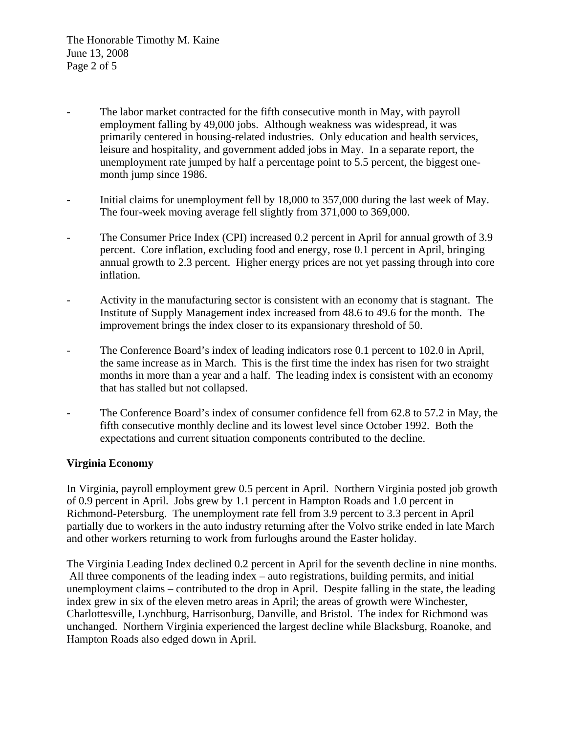- leisure and hospitality, and government added jobs in May. In a separate report, the unemployment rate jumped by half a percentage point to 5.5 percent, the biggest one-The labor market contracted for the fifth consecutive month in May, with payroll employment falling by 49,000 jobs. Although weakness was widespread, it was primarily centered in housing-related industries. Only education and health services, month jump since 1986.
- Initial claims for unemployment fell by 18,000 to 357,000 during the last week of May. - The four-week moving average fell slightly from 371,000 to 369,000.
- percent. Core inflation, excluding food and energy, rose 0.1 percent in April, bringing annual growth to 2.3 percent. Higher energy prices are not yet passing through into core - The Consumer Price Index (CPI) increased 0.2 percent in April for annual growth of 3.9 inflation.
- Activity in the manufacturing sector is consistent with an economy that is stagnant. The Institute of Supply Management index increased from 48.6 to 49.6 for the month. The improvement brings the index closer to its expansionary threshold of 50.
- the same increase as in March. This is the first time the index has risen for two straight months in more than a year and a half. The leading index is consistent with an economy The Conference Board's index of leading indicators rose 0.1 percent to 102.0 in April, that has stalled but not collapsed.
- The Conference Board's index of consumer confidence fell from 62.8 to 57.2 in May, the fifth consecutive monthly decline and its lowest level since October 1992. Both the expectations and current situation components contributed to the decline.

# **Virginia Economy**

In Virginia, payroll employment grew 0.5 percent in April. Northern Virginia posted job growth Richmond-Petersburg. The unemployment rate fell from 3.9 percent to 3.3 percent in April partially due to workers in the auto industry returning after the Volvo strike ended in late March of 0.9 percent in April. Jobs grew by 1.1 percent in Hampton Roads and 1.0 percent in and other workers returning to work from furloughs around the Easter holiday.

Charlottesville, Lynchburg, Harrisonburg, Danville, and Bristol. The index for Richmond was nchanged. Northern Virginia experienced the largest decline while Blacksburg, Roanoke, and u Hampton Roads also edged down in April. The Virginia Leading Index declined 0.2 percent in April for the seventh decline in nine months. All three components of the leading index – auto registrations, building permits, and initial unemployment claims – contributed to the drop in April. Despite falling in the state, the leading index grew in six of the eleven metro areas in April; the areas of growth were Winchester,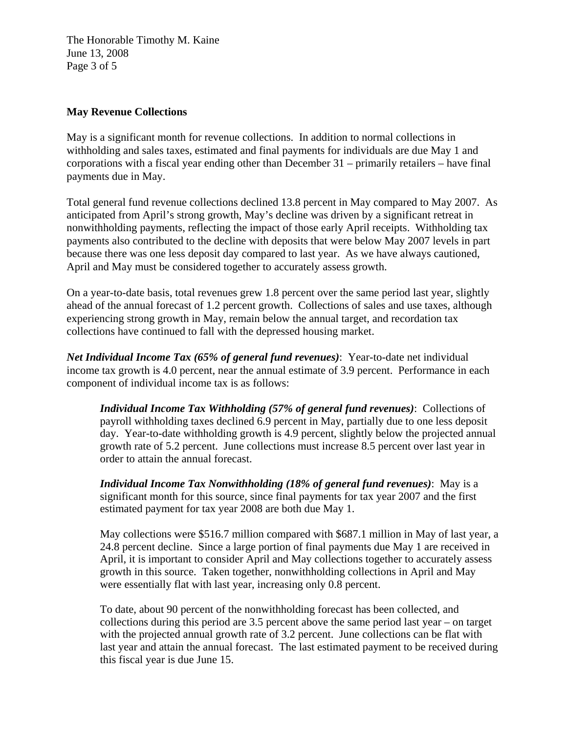The Honorable Timothy M. Kaine June 13, 2008 Page 3 of 5

#### **May Revenue Collections**

withholding and sales taxes, estimated and final payments for individuals are due May 1 and corporations with a fiscal year ending other than December 31 – primarily retailers – have final May is a significant month for revenue collections. In addition to normal collections in payments due in May.

Total general fund revenue collections declined 13.8 percent in May compared to May 2007. As payments also contributed to the decline with deposits that were below May 2007 levels in part because there was one less deposit day compared to last year. As we have always cautioned, anticipated from April's strong growth, May's decline was driven by a significant retreat in nonwithholding payments, reflecting the impact of those early April receipts. Withholding tax April and May must be considered together to accurately assess growth.

On a year-to-date basis, total revenues grew 1.8 percent over the same period last year, slightly ahead of the annual forecast of 1.2 percent growth. Collections of sales and use taxes, although experiencing strong growth in May, remain below the annual target, and recordation tax collections have continued to fall with the depressed housing market.

Net Individual Income Tax (65% of general fund revenues): Year-to-date net individual income tax growth is 4.0 percent, near the annual estimate of 3.9 percent. Performance in each compon ent of individual income tax is as follows:

day. Year-to-date withholding growth is 4.9 percent, slightly below the projected annual growth rate of 5.2 percent. June collections must increase 8.5 percent over last year in *Individual Income Tax Withholding (57% of general fund revenues)*: Collections of payroll withholding taxes declined 6.9 percent in May, partially due to one less deposit order to attain the annual forecast.

*Individual Income Tax Nonwithholding (18% of general fund revenues)***: May is a** significant month for this source, since final payments for tax year 2007 and the first estimated payment for tax year 2008 are both due May 1.

24.8 percent decline. Since a large portion of final payments due May 1 are received in April, it is important to consider April and May collections together to accurately assess growth in this source. Taken together, nonwithholding collections in April and May May collections were \$516.7 million compared with \$687.1 million in May of last year, a were essentially flat with last year, increasing only 0.8 percent.

with the projected annual growth rate of 3.2 percent. June collections can be flat with last year and attain the annual forecast. The last estimated payment to be received during To date, about 90 percent of the nonwithholding forecast has been collected, and collections during this period are 3.5 percent above the same period last year – on target this fiscal year is due June 15.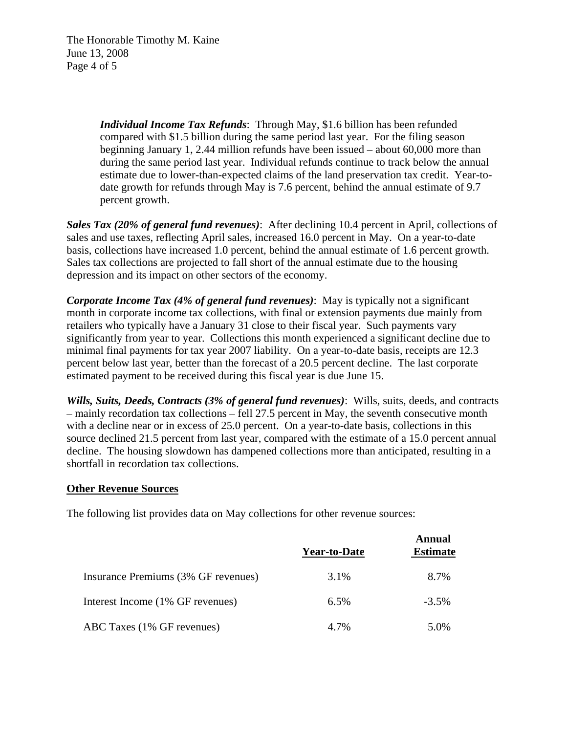The Honorable Timothy M. Kaine June 13, 2008 Page 4 of 5

> during the same period last year. Individual refunds continue to track below the annual estimate due to lower-than-expected claims of the land preservation tax credit. Year-todate growth for refunds through May is 7.6 percent, behind the annual estimate of 9.7 *Individual Income Tax Refunds*: Through May, \$1.6 billion has been refunded compared with \$1.5 billion during the same period last year. For the filing season beginning January 1, 2.44 million refunds have been issued – about 60,000 more than percent growth.

sales and use taxes, reflecting April sales, increased 16.0 percent in May. On a year-to-date basis, collections have increased 1.0 percent, behind the annual estimate of 1.6 percent growth. Sales tax collections are projected to fall short of the annual estimate due to the housing *Sales Tax (20% of general fund revenues)*: After declining 10.4 percent in April, collections of depression and its impact on other sectors of the economy.

**Corporate Income Tax (4% of general fund revenues)**: May is typically not a significant significantly from year to year. Collections this month experienced a significant decline due to minimal final payments for tax year 2007 liability. On a year-to-date basis, receipts are 12.3 percent below last year, better than the forecast of a 20.5 percent decline. The last corporate month in corporate income tax collections, with final or extension payments due mainly from retailers who typically have a January 31 close to their fiscal year. Such payments vary estimated payment to be received during this fiscal year is due June 15.

Wills, Suits, Deeds, Contracts (3% of general fund revenues): Wills, suits, deeds, and contracts source declined 21.5 percent from last year, compared with the estimate of a 15.0 percent annual decline. The housing slowdown has dampened collections more than anticipated, resulting in a shortfall in recordation tax collections. – mainly recordation tax collections – fell 27.5 percent in May, the seventh consecutive month with a decline near or in excess of 25.0 percent. On a year-to-date basis, collections in this

#### **Other Revenue Sources**

The following list provides data on May collections for other revenue sources:

|                                     | <b>Year-to-Date</b> | Annual<br><b>Estimate</b> |
|-------------------------------------|---------------------|---------------------------|
| Insurance Premiums (3% GF revenues) | 3.1%                | 8.7%                      |
| Interest Income (1% GF revenues)    | $6.5\%$             | $-3.5\%$                  |
| ABC Taxes (1% GF revenues)          | 4.7%                | 5.0%                      |